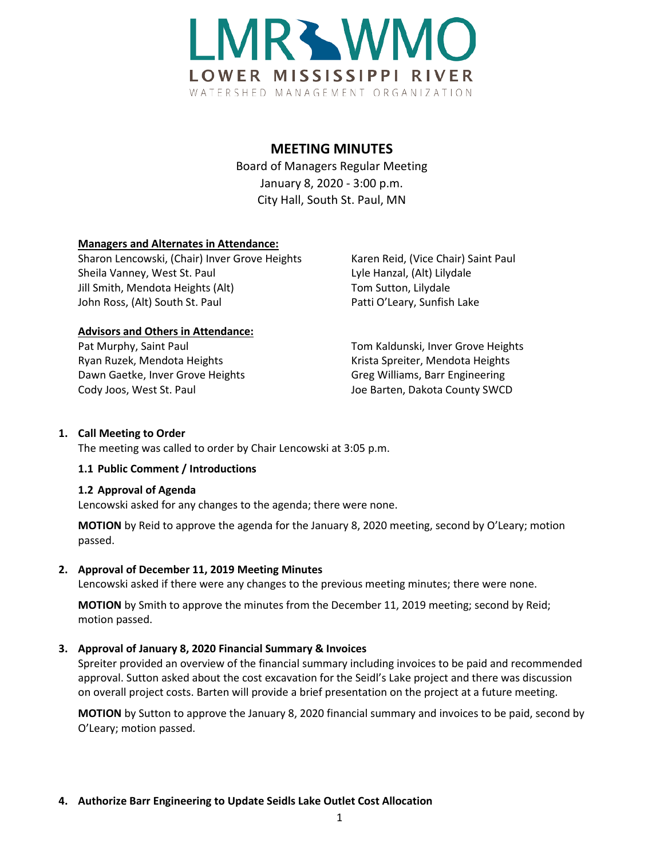

# **MEETING MINUTES**

Board of Managers Regular Meeting January 8, 2020 - 3:00 p.m. City Hall, South St. Paul, MN

### **Managers and Alternates in Attendance:**

Sharon Lencowski, (Chair) Inver Grove Heights Karen Reid, (Vice Chair) Saint Paul Sheila Vanney, West St. Paul Lyle Hanzal, (Alt) Lilydale Jill Smith, Mendota Heights (Alt) Tom Sutton, Lilydale John Ross, (Alt) South St. Paul Patti O'Leary, Sunfish Lake

#### **Advisors and Others in Attendance:**

Ryan Ruzek, Mendota Heights Krista Spreiter, Mendota Heights Dawn Gaetke, Inver Grove Heights Greg Williams, Barr Engineering Cody Joos, West St. Paul Joe Barten, Dakota County SWCD

Pat Murphy, Saint Paul **The Communist Communist Pat Murphy, Saint Paul Communist Communist Communist Pat Area** 

#### **1. Call Meeting to Order**

The meeting was called to order by Chair Lencowski at 3:05 p.m.

#### **1.1 Public Comment / Introductions**

#### **1.2 Approval of Agenda**

Lencowski asked for any changes to the agenda; there were none.

**MOTION** by Reid to approve the agenda for the January 8, 2020 meeting, second by O'Leary; motion passed.

### **2. Approval of December 11, 2019 Meeting Minutes**

Lencowski asked if there were any changes to the previous meeting minutes; there were none.

**MOTION** by Smith to approve the minutes from the December 11, 2019 meeting; second by Reid; motion passed.

### **3. Approval of January 8, 2020 Financial Summary & Invoices**

Spreiter provided an overview of the financial summary including invoices to be paid and recommended approval. Sutton asked about the cost excavation for the Seidl's Lake project and there was discussion on overall project costs. Barten will provide a brief presentation on the project at a future meeting.

**MOTION** by Sutton to approve the January 8, 2020 financial summary and invoices to be paid, second by O'Leary; motion passed.

#### **4. Authorize Barr Engineering to Update Seidls Lake Outlet Cost Allocation**